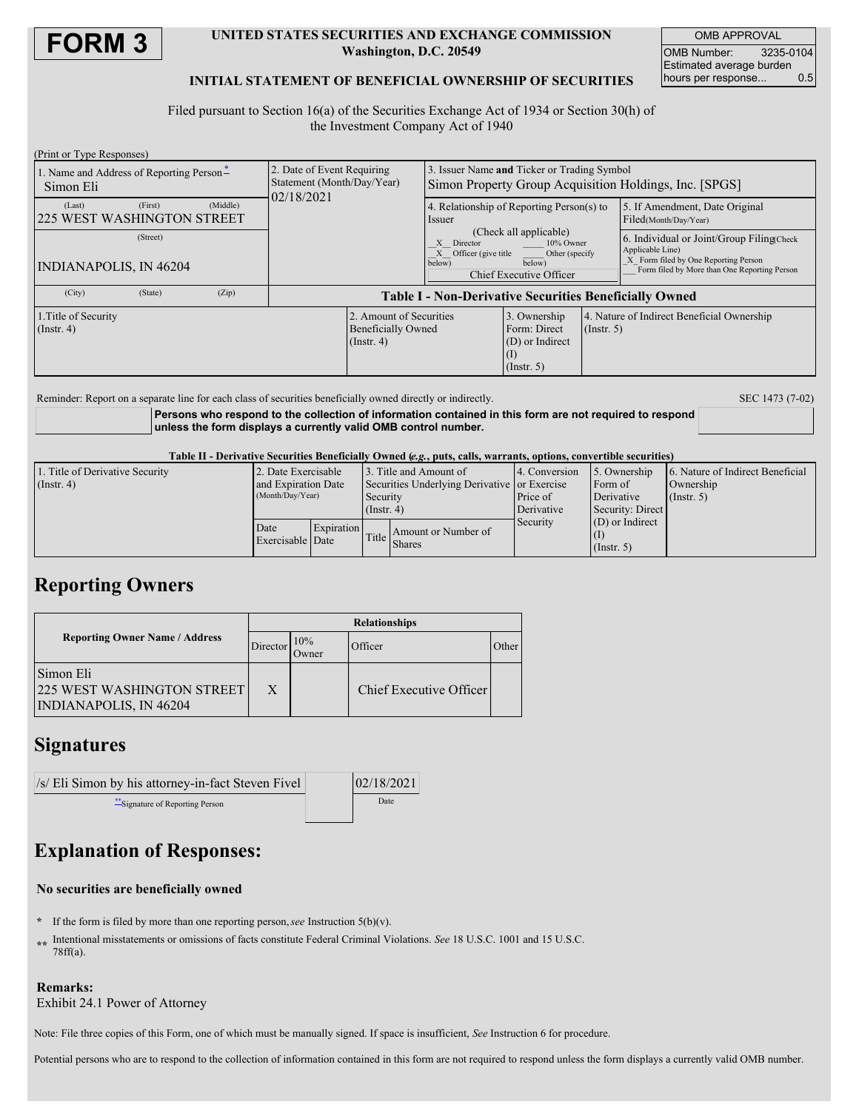

### **UNITED STATES SECURITIES AND EXCHANGE COMMISSION Washington, D.C. 20549**

OMB APPROVAL OMB Number: 3235-0104 Estimated average burden hours per response... 0.5

### **INITIAL STATEMENT OF BENEFICIAL OWNERSHIP OF SECURITIES**

Filed pursuant to Section 16(a) of the Securities Exchange Act of 1934 or Section 30(h) of the Investment Company Act of 1940

| (Print or Type Responses)                                   |                                                                          |                                                                                                       |                                                                                             |                  |                                                                                                                                                       |  |  |  |
|-------------------------------------------------------------|--------------------------------------------------------------------------|-------------------------------------------------------------------------------------------------------|---------------------------------------------------------------------------------------------|------------------|-------------------------------------------------------------------------------------------------------------------------------------------------------|--|--|--|
| 1. Name and Address of Reporting Person-<br>Simon Eli       | 2. Date of Event Requiring<br>Statement (Month/Day/Year)<br>02/18/2021   | 3. Issuer Name and Ticker or Trading Symbol<br>Simon Property Group Acquisition Holdings, Inc. [SPGS] |                                                                                             |                  |                                                                                                                                                       |  |  |  |
| (Middle)<br>(First)<br>(Last)<br>225 WEST WASHINGTON STREET |                                                                          | <i>ssuer</i>                                                                                          | 4. Relationship of Reporting Person(s) to                                                   |                  | 5. If Amendment, Date Original<br>Filed(Month/Day/Year)                                                                                               |  |  |  |
| (Street)<br><b>INDIANAPOLIS, IN 46204</b>                   |                                                                          | X Director<br>X Officer (give title<br>below)                                                         | (Check all applicable)<br>10% Owner<br>Other (specify)<br>below)<br>Chief Executive Officer |                  | 6. Individual or Joint/Group Filing Check<br>Applicable Line)<br>X Form filed by One Reporting Person<br>Form filed by More than One Reporting Person |  |  |  |
| (City)<br>(State)<br>(Zip)                                  |                                                                          | <b>Table I - Non-Derivative Securities Beneficially Owned</b>                                         |                                                                                             |                  |                                                                                                                                                       |  |  |  |
| 1. Title of Security<br>$($ Instr. 4 $)$                    | 2. Amount of Securities<br><b>Beneficially Owned</b><br>$($ Instr. 4 $)$ |                                                                                                       | 3. Ownership<br>Form: Direct<br>$(D)$ or Indirect<br>$($ Instr. 5 $)$                       | $($ Instr. 5 $)$ | 4. Nature of Indirect Beneficial Ownership                                                                                                            |  |  |  |

Reminder: Report on a separate line for each class of securities beneficially owned directly or indirectly. SEC 1473 (7-02)

**Persons who respond to the collection of information contained in this form are not required to respond unless the form displays a currently valid OMB control number.**

Table II - Derivative Securities Beneficially Owned (e.g., puts, calls, warrants, options, convertible securities)

| 1. Title of Derivative Security | 2. Date Exercisable                     |            |                                                          | 13. Title and Amount of             | 4. Conversion | 5. Ownership      | 6. Nature of Indirect Beneficial |
|---------------------------------|-----------------------------------------|------------|----------------------------------------------------------|-------------------------------------|---------------|-------------------|----------------------------------|
| $($ Instr. 4)                   | and Expiration Date<br>(Month/Day/Year) |            | Securities Underlying Derivative or Exercise<br>Security |                                     |               | Form of           | Ownership                        |
|                                 |                                         |            |                                                          |                                     | Price of      | Derivative        | $($ Instr. 5 $)$                 |
|                                 |                                         |            | $($ Instr. 4)                                            |                                     | Derivative    | Security: Direct  |                                  |
|                                 | Date<br>Exercisable Date                | Expiration |                                                          | Amount or Number of<br>Title Shares | Security      | $(D)$ or Indirect |                                  |
|                                 |                                         |            |                                                          |                                     |               |                   |                                  |
|                                 |                                         |            |                                                          |                                     |               | $($ Instr. 5 $)$  |                                  |

## **Reporting Owners**

|                                                                                 | <b>Relationships</b> |                      |                         |              |  |  |
|---------------------------------------------------------------------------------|----------------------|----------------------|-------------------------|--------------|--|--|
| <b>Reporting Owner Name / Address</b>                                           | Director             | 10%<br><b>J</b> wner | Officer                 | <b>Other</b> |  |  |
| Simon Eli<br><b>225 WEST WASHINGTON STREET</b><br><b>INDIANAPOLIS, IN 46204</b> | X                    |                      | Chief Executive Officer |              |  |  |

## **Signatures**

 $\sqrt{s}$  Eli Simon by his attorney-in-fact Steven Fivel  $\vert$  02/18/2021 \*\*Signature of Reporting Person Date

# **Explanation of Responses:**

### **No securities are beneficially owned**

- **\*** If the form is filed by more than one reporting person,*see* Instruction 5(b)(v).
- **\*\*** Intentional misstatements or omissions of facts constitute Federal Criminal Violations. *See* 18 U.S.C. 1001 and 15 U.S.C. 78ff(a).

### **Remarks:**

Exhibit 24.1 Power of Attorney

Note: File three copies of this Form, one of which must be manually signed. If space is insufficient, *See* Instruction 6 for procedure.

Potential persons who are to respond to the collection of information contained in this form are not required to respond unless the form displays a currently valid OMB number.